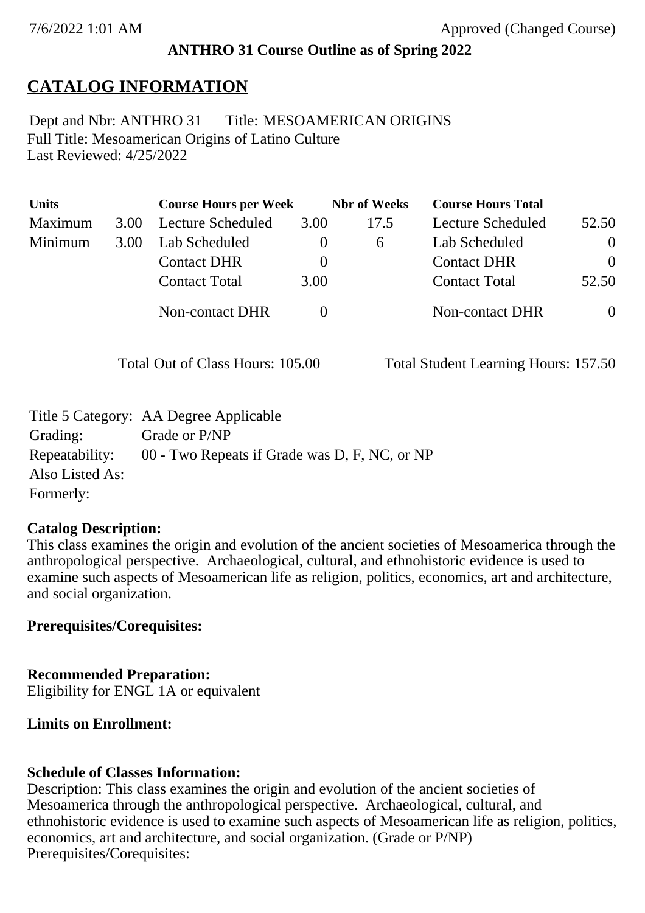### **ANTHRO 31 Course Outline as of Spring 2022**

## **CATALOG INFORMATION**

Full Title: Mesoamerican Origins of Latino Culture Last Reviewed: 4/25/2022 Dept and Nbr: ANTHRO 31 Title: MESOAMERICAN ORIGINS

| <b>Units</b> |      | <b>Course Hours per Week</b> |          | <b>Nbr</b> of Weeks | <b>Course Hours Total</b> |                |
|--------------|------|------------------------------|----------|---------------------|---------------------------|----------------|
| Maximum      | 3.00 | Lecture Scheduled            | 3.00     | 17.5                | Lecture Scheduled         | 52.50          |
| Minimum      | 3.00 | Lab Scheduled                | $\theta$ | $\mathfrak b$       | Lab Scheduled             | $\overline{0}$ |
|              |      | <b>Contact DHR</b>           |          |                     | <b>Contact DHR</b>        | $\Omega$       |
|              |      | <b>Contact Total</b>         | 3.00     |                     | <b>Contact Total</b>      | 52.50          |
|              |      | Non-contact DHR              |          |                     | Non-contact DHR           | $\overline{0}$ |

Total Out of Class Hours: 105.00 Total Student Learning Hours: 157.50

|                 | Title 5 Category: AA Degree Applicable        |
|-----------------|-----------------------------------------------|
| Grading:        | Grade or P/NP                                 |
| Repeatability:  | 00 - Two Repeats if Grade was D, F, NC, or NP |
| Also Listed As: |                                               |
| Formerly:       |                                               |

#### **Catalog Description:**

This class examines the origin and evolution of the ancient societies of Mesoamerica through the anthropological perspective. Archaeological, cultural, and ethnohistoric evidence is used to examine such aspects of Mesoamerican life as religion, politics, economics, art and architecture, and social organization.

### **Prerequisites/Corequisites:**

**Recommended Preparation:** Eligibility for ENGL 1A or equivalent

### **Limits on Enrollment:**

### **Schedule of Classes Information:**

Description: This class examines the origin and evolution of the ancient societies of Mesoamerica through the anthropological perspective. Archaeological, cultural, and ethnohistoric evidence is used to examine such aspects of Mesoamerican life as religion, politics, economics, art and architecture, and social organization. (Grade or P/NP) Prerequisites/Corequisites: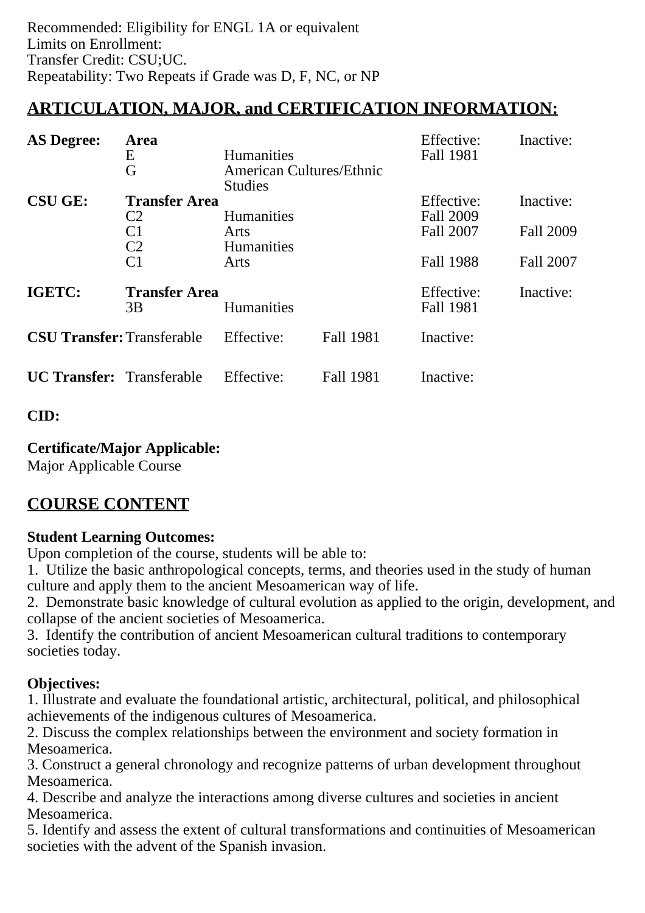# **ARTICULATION, MAJOR, and CERTIFICATION INFORMATION:**

| <b>AS Degree:</b>                                         | Area<br>E<br>G                                                             | Humanities<br><b>American Cultures/Ethnic</b><br><b>Studies</b> |                  | Effective:<br>Fall 1981              | Inactive:                     |
|-----------------------------------------------------------|----------------------------------------------------------------------------|-----------------------------------------------------------------|------------------|--------------------------------------|-------------------------------|
| <b>CSU GE:</b>                                            | <b>Transfer Area</b><br>C <sub>2</sub><br>C <sub>1</sub><br>C <sub>2</sub> | <b>Humanities</b><br>Arts<br>Humanities                         |                  | Effective:<br>Fall 2009<br>Fall 2007 | Inactive:<br><b>Fall 2009</b> |
|                                                           | C <sub>1</sub>                                                             | Arts                                                            |                  | <b>Fall 1988</b>                     | Fall 2007                     |
| IGETC:<br><b>Transfer Area</b><br><b>Humanities</b><br>3B |                                                                            |                                                                 |                  | Effective:<br>Fall 1981              | Inactive:                     |
| <b>CSU Transfer: Transferable</b>                         |                                                                            | Effective:                                                      | <b>Fall 1981</b> | Inactive:                            |                               |
| <b>UC Transfer:</b> Transferable                          |                                                                            | Effective:                                                      | <b>Fall 1981</b> | Inactive:                            |                               |

**CID:**

### **Certificate/Major Applicable:**

[Major Applicable Course](SR_ClassCheck.aspx?CourseKey=ANTHRO31)

# **COURSE CONTENT**

### **Student Learning Outcomes:**

Upon completion of the course, students will be able to:

1. Utilize the basic anthropological concepts, terms, and theories used in the study of human culture and apply them to the ancient Mesoamerican way of life.

2. Demonstrate basic knowledge of cultural evolution as applied to the origin, development, and collapse of the ancient societies of Mesoamerica.

3. Identify the contribution of ancient Mesoamerican cultural traditions to contemporary societies today.

### **Objectives:**

1. Illustrate and evaluate the foundational artistic, architectural, political, and philosophical achievements of the indigenous cultures of Mesoamerica.

2. Discuss the complex relationships between the environment and society formation in Mesoamerica.

3. Construct a general chronology and recognize patterns of urban development throughout Mesoamerica.

4. Describe and analyze the interactions among diverse cultures and societies in ancient Mesoamerica.

5. Identify and assess the extent of cultural transformations and continuities of Mesoamerican societies with the advent of the Spanish invasion.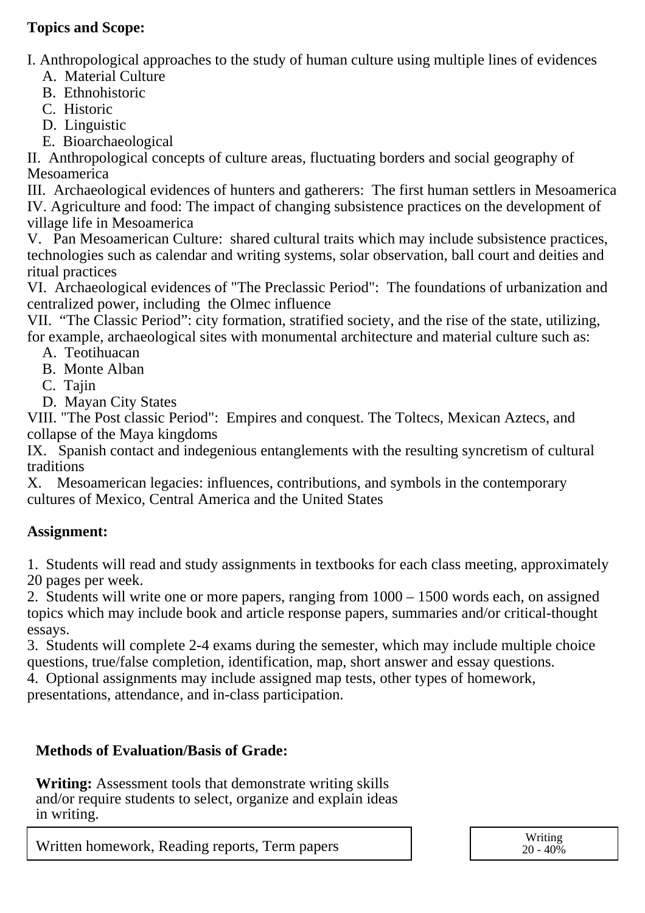### **Topics and Scope:**

I. Anthropological approaches to the study of human culture using multiple lines of evidences

A. Material Culture

- B. Ethnohistoric
- C. Historic
- D. Linguistic
- E. Bioarchaeological

II. Anthropological concepts of culture areas, fluctuating borders and social geography of Mesoamerica

III. Archaeological evidences of hunters and gatherers: The first human settlers in Mesoamerica IV. Agriculture and food: The impact of changing subsistence practices on the development of village life in Mesoamerica

V. Pan Mesoamerican Culture: shared cultural traits which may include subsistence practices, technologies such as calendar and writing systems, solar observation, ball court and deities and ritual practices

VI. Archaeological evidences of "The Preclassic Period": The foundations of urbanization and centralized power, including the Olmec influence

VII. "The Classic Period": city formation, stratified society, and the rise of the state, utilizing, for example, archaeological sites with monumental architecture and material culture such as:

- A. Teotihuacan
- B. Monte Alban
- C. Tajin
- D. Mayan City States

VIII. "The Post classic Period": Empires and conquest. The Toltecs, Mexican Aztecs, and collapse of the Maya kingdoms

IX. Spanish contact and indegenious entanglements with the resulting syncretism of cultural traditions

X. Mesoamerican legacies: influences, contributions, and symbols in the contemporary cultures of Mexico, Central America and the United States

### **Assignment:**

1. Students will read and study assignments in textbooks for each class meeting, approximately 20 pages per week.

2. Students will write one or more papers, ranging from 1000 – 1500 words each, on assigned topics which may include book and article response papers, summaries and/or critical-thought essays.

3. Students will complete 2-4 exams during the semester, which may include multiple choice questions, true/false completion, identification, map, short answer and essay questions.

4. Optional assignments may include assigned map tests, other types of homework,

presentations, attendance, and in-class participation.

### **Methods of Evaluation/Basis of Grade:**

**Writing:** Assessment tools that demonstrate writing skills and/or require students to select, organize and explain ideas in writing.

Written homework, Reading reports, Term papers Writing